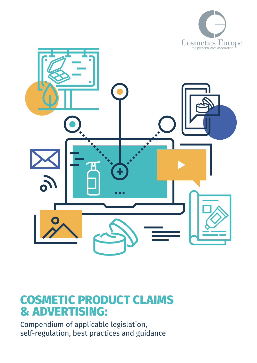



# **COSMETIC PRODUCT CLAIMS & ADVERTISING:**

Compendium of applicable legislation, self-regulation, best practices and guidance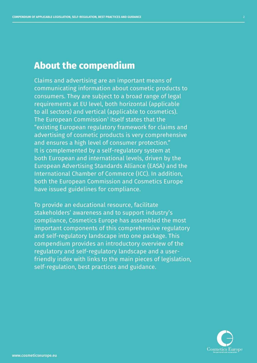### **About the compendium**

Claims and advertising are an important means of communicating information about cosmetic products to consumers. They are subject to a broad range of legal requirements at EU level, both horizontal (applicable to all sectors) and vertical (applicable to cosmetics). The European Commission $^{\rm 1}$  itself states that the "existing European regulatory framework for claims and advertising of cosmetic products is very comprehensive and ensures a high level of consumer protection." It is complemented by a self-regulatory system at both European and international levels, driven by the European Advertising Standards Alliance (EASA) and the International Chamber of Commerce (ICC). In addition, both the European Commission and Cosmetics Europe have issued guidelines for compliance.

To provide an educational resource, facilitate stakeholders' awareness and to support industry's compliance, Cosmetics Europe has assembled the most important components of this comprehensive regulatory and self-regulatory landscape into one package. This compendium provides an introductory overview of the regulatory and self-regulatory landscape and a userfriendly index with links to the main pieces of legislation, self-regulation, best practices and guidance.

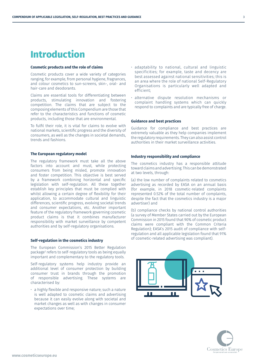www.cosmeticseurope.eu

### **Introduction**

#### **Cosmetic products and the role of claims**

Cosmetic products cover a wide variety of categories ranging, for example, from personal hygiene, fragrances, and colour cosmetics to sun-screens, skin-, oral- and hair-care and deodorants.

Claims are essential tools for differentiating between products, stimulating innovation and fostering competition. The claims that are subject to the composing elements of this Compendium are those that refer to the characteristics and functions of cosmetic products, including those that are environmental.

To fulfil their role, it is vital for claims to evolve with national markets, scientific progress and the diversity of consumers, as well as the changes in societal demands, trends and fashions.

#### **The European regulatory model**

The regulatory framework must take all the above factors into account and must, while protecting consumers from being misled, promote innovation and foster competition. This objective is best served by a framework combining horizontal and specific legislation with self-regulation. All these together establish key principles that must be complied with whilst allowing a certain degree of flexibility for their application, to accommodate cultural and linguistic differences, scientific progress, evolving societal trends and consumer expectations, etc. Another important feature of the regulatory framework governing cosmetic product claims is that it combines manufacturer responsibility with market surveillance by competent authorities and by self-regulatory organisations.

#### **Self-regulation in the cosmetics industry**

The European Commission's 2015 Better Regulation package2 refers to self-regulatory tools as being equally important and complementary to the regulatory tools.

Self-regulatory systems help industry provide an additional level of consumer protection by building consumer trust in brands through the promotion of responsible advertising. These systems are characterised by:

• a highly flexible and responsive nature; such a nature is well adapted to cosmetic claims and advertising because it can easily evolve along with societal and market changes as well as with changes in consumer expectations over time;

- adaptability to national, cultural and linguistic specificities; for example, taste and decency are best assessed against national sensitivities; this is an area where the role of national Self-Regulatory Organisations is particularly well adapted and efficient;
- alternative dispute resolution mechanisms or complaint handling systems which can quickly respond to complaints and are typically free of charge.

#### **Guidance and best practices**

Guidance for compliance and best practices are extremely valuable as they help companies implement the regulatory requirements. They can also assist control authorities in their market surveillance activities.

#### **Industry responsibility and compliance**

The cosmetics industry has a responsible attitude toward claims and advertising. This can be demonstrated at two levels, through:

(a) the low number of complaints related to cosmetics advertising as recorded by EASA on an annual basis (for example, in 2018 cosmetic-related complaints represented 0.52% of the total number of complaints, despite the fact that the cosmetics industry is a major advertiser) and

(b) compliance checks by national control authorities (a survey of Member States carried out by the European Commission in 2015 found that 90% of cosmetic product claims were compliant with the Common Criteria Regulation); EASA's 2015 audit of compliance with selfregulation and all applicable legislation found that 91% of cosmetic-related advertising was compliant).